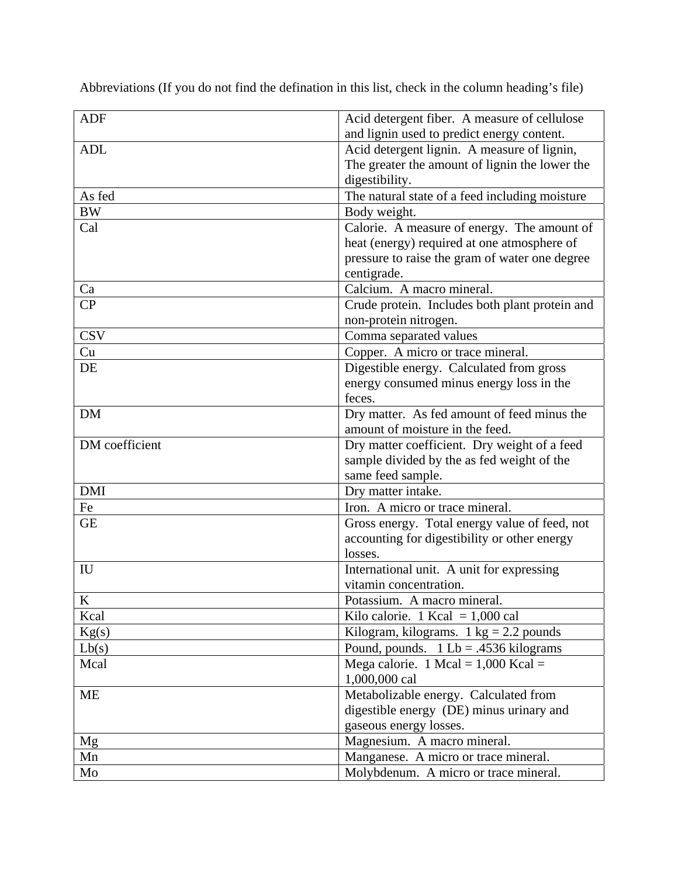| <b>ADF</b>     | Acid detergent fiber. A measure of cellulose             |
|----------------|----------------------------------------------------------|
|                | and lignin used to predict energy content.               |
| <b>ADL</b>     | Acid detergent lignin. A measure of lignin,              |
|                | The greater the amount of lignin the lower the           |
|                | digestibility.                                           |
| As fed         | The natural state of a feed including moisture           |
| <b>BW</b>      | Body weight.                                             |
| Cal            | Calorie. A measure of energy. The amount of              |
|                | heat (energy) required at one atmosphere of              |
|                | pressure to raise the gram of water one degree           |
|                | centigrade.                                              |
| Ca             | Calcium. A macro mineral.                                |
| CP             | Crude protein. Includes both plant protein and           |
|                | non-protein nitrogen.                                    |
| <b>CSV</b>     | Comma separated values                                   |
| Cu             | Copper. A micro or trace mineral.                        |
| DE             | Digestible energy. Calculated from gross                 |
|                | energy consumed minus energy loss in the                 |
|                | feces.                                                   |
| <b>DM</b>      | Dry matter. As fed amount of feed minus the              |
|                | amount of moisture in the feed.                          |
| DM coefficient | Dry matter coefficient. Dry weight of a feed             |
|                | sample divided by the as fed weight of the               |
|                | same feed sample.                                        |
| <b>DMI</b>     | Dry matter intake.                                       |
| Fe             | Iron. A micro or trace mineral.                          |
| <b>GE</b>      | Gross energy. Total energy value of feed, not            |
|                | accounting for digestibility or other energy             |
|                | losses.                                                  |
| IU             | International unit. A unit for expressing                |
|                | vitamin concentration.                                   |
| K              | Potassium. A macro mineral                               |
| Kcal           | Kilo calorie. 1 Kcal = $1,000$ cal                       |
| Kg(s)          | Kilogram, kilograms. $1 \text{ kg} = 2.2 \text{ pounds}$ |
| Lb(s)          | Pound, pounds. $1 Lb = .4536$ kilograms                  |
| Mcal           | Mega calorie. 1 Mcal = $1,000$ Kcal =                    |
|                | 1,000,000 cal                                            |
| <b>ME</b>      | Metabolizable energy. Calculated from                    |
|                | digestible energy (DE) minus urinary and                 |
|                | gaseous energy losses.                                   |
| Mg             | Magnesium. A macro mineral.                              |
| Mn             | Manganese. A micro or trace mineral.                     |
| Mo             | Molybdenum. A micro or trace mineral.                    |

Abbreviations (If you do not find the defination in this list, check in the column heading's file)